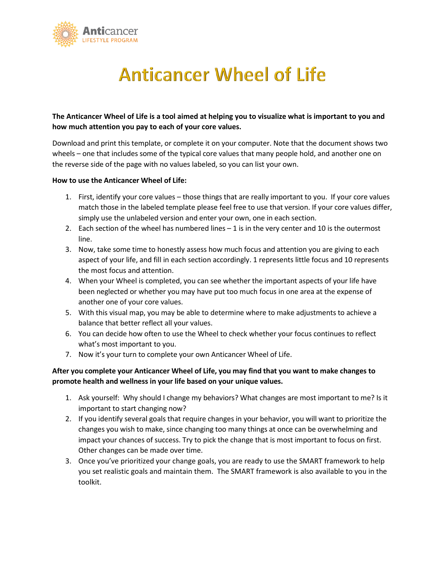

# **Anticancer Wheel of Life**

### **The Anticancer Wheel of Life is a tool aimed at helping you to visualize what is important to you and how much attention you pay to each of your core values.**

Download and print this template, or complete it on your computer. Note that the document shows two wheels – one that includes some of the typical core values that many people hold, and another one on the reverse side of the page with no values labeled, so you can list your own.

#### **How to use the Anticancer Wheel of Life:**

- 1. First, identify your core values those things that are really important to you. If your core values match those in the labeled template please feel free to use that version. If your core values differ, simply use the unlabeled version and enter your own, one in each section.
- 2. Each section of the wheel has numbered lines 1 is in the very center and 10 is the outermost line.
- 3. Now, take some time to honestly assess how much focus and attention you are giving to each aspect of your life, and fill in each section accordingly. 1 represents little focus and 10 represents the most focus and attention.
- 4. When your Wheel is completed, you can see whether the important aspects of your life have been neglected or whether you may have put too much focus in one area at the expense of another one of your core values.
- 5. With this visual map, you may be able to determine where to make adjustments to achieve a balance that better reflect all your values.
- 6. You can decide how often to use the Wheel to check whether your focus continues to reflect what's most important to you.
- 7. Now it's your turn to complete your own Anticancer Wheel of Life.

#### **After you complete your Anticancer Wheel of Life, you may find that you want to make changes to promote health and wellness in your life based on your unique values.**

- 1. Ask yourself: Why should I change my behaviors? What changes are most important to me? Is it important to start changing now?
- 2. If you identify several goals that require changes in your behavior, you will want to prioritize the changes you wish to make, since changing too many things at once can be overwhelming and impact your chances of success. Try to pick the change that is most important to focus on first. Other changes can be made over time.
- 3. Once you've prioritized your change goals, you are ready to use the SMART framework to help you set realistic goals and maintain them. The SMART framework is also available to you in the toolkit.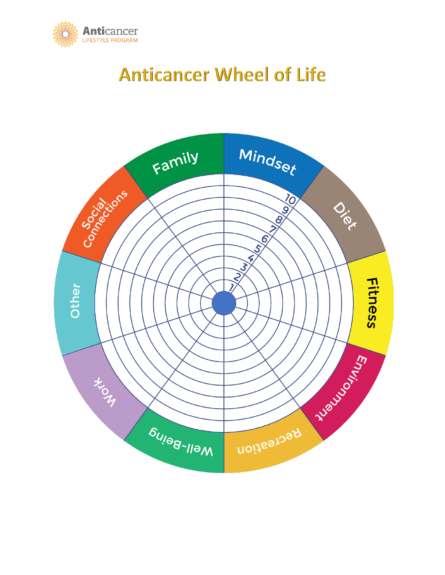

## **Anticancer Wheel of Life**